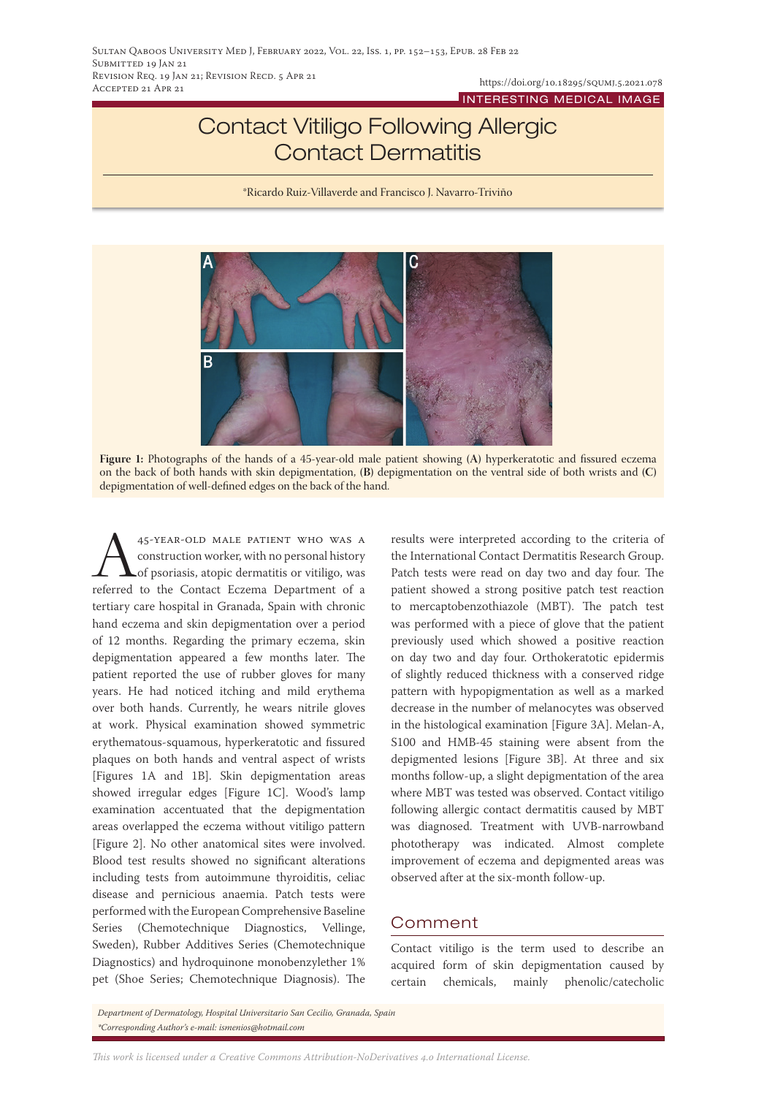INTERESTING MEDICAL IMAGE

## Contact Vitiligo Following Allergic Contact Dermatitis

\*Ricardo Ruiz-Villaverde and Francisco J. Navarro-Triviño



**Figure 1:** Photographs of the hands of a 45-year-old male patient showing **(A)** hyperkeratotic and fissured eczema on the back of both hands with skin depigmentation, **(B)** depigmentation on the ventral side of both wrists and **(C)**  depigmentation of well-defined edges on the back of the hand.

45-YEAR-OLD MALE PATIENT WHO WAS A construction worker, with no personal history of psoriasis, atopic dermatitis or vitiligo, was referred to the Contact Eczema Department of a construction worker, with no personal history of psoriasis, atopic dermatitis or vitiligo, was tertiary care hospital in Granada, Spain with chronic hand eczema and skin depigmentation over a period of 12 months. Regarding the primary eczema, skin depigmentation appeared a few months later. The patient reported the use of rubber gloves for many years. He had noticed itching and mild erythema over both hands. Currently, he wears nitrile gloves at work. Physical examination showed symmetric erythematous-squamous, hyperkeratotic and fissured plaques on both hands and ventral aspect of wrists [Figures 1A and 1B]. Skin depigmentation areas showed irregular edges [Figure 1C]. Wood's lamp examination accentuated that the depigmentation areas overlapped the eczema without vitiligo pattern [Figure 2]. No other anatomical sites were involved. Blood test results showed no significant alterations including tests from autoimmune thyroiditis, celiac disease and pernicious anaemia. Patch tests were performed with the European Comprehensive Baseline Series (Chemotechnique Diagnostics, Vellinge, Sweden), Rubber Additives Series (Chemotechnique Diagnostics) and hydroquinone monobenzylether 1% pet (Shoe Series; Chemotechnique Diagnosis). The

results were interpreted according to the criteria of the International Contact Dermatitis Research Group. Patch tests were read on day two and day four. The patient showed a strong positive patch test reaction to mercaptobenzothiazole (MBT). The patch test was performed with a piece of glove that the patient previously used which showed a positive reaction on day two and day four. Orthokeratotic epidermis of slightly reduced thickness with a conserved ridge pattern with hypopigmentation as well as a marked decrease in the number of melanocytes was observed in the histological examination [Figure 3A]. Melan-A, S100 and HMB-45 staining were absent from the depigmented lesions [Figure 3B]. At three and six months follow-up, a slight depigmentation of the area where MBT was tested was observed. Contact vitiligo following allergic contact dermatitis caused by MBT was diagnosed. Treatment with UVB-narrowband phototherapy was indicated. Almost complete improvement of eczema and depigmented areas was observed after at the six-month follow-up.

## Comment

Contact vitiligo is the term used to describe an acquired form of skin depigmentation caused by certain chemicals, mainly phenolic/catecholic

*Department of Dermatology, Hospital Universitario San Cecilio, Granada, Spain \*Corresponding Author's e-mail: ismenios@hotmail.com*